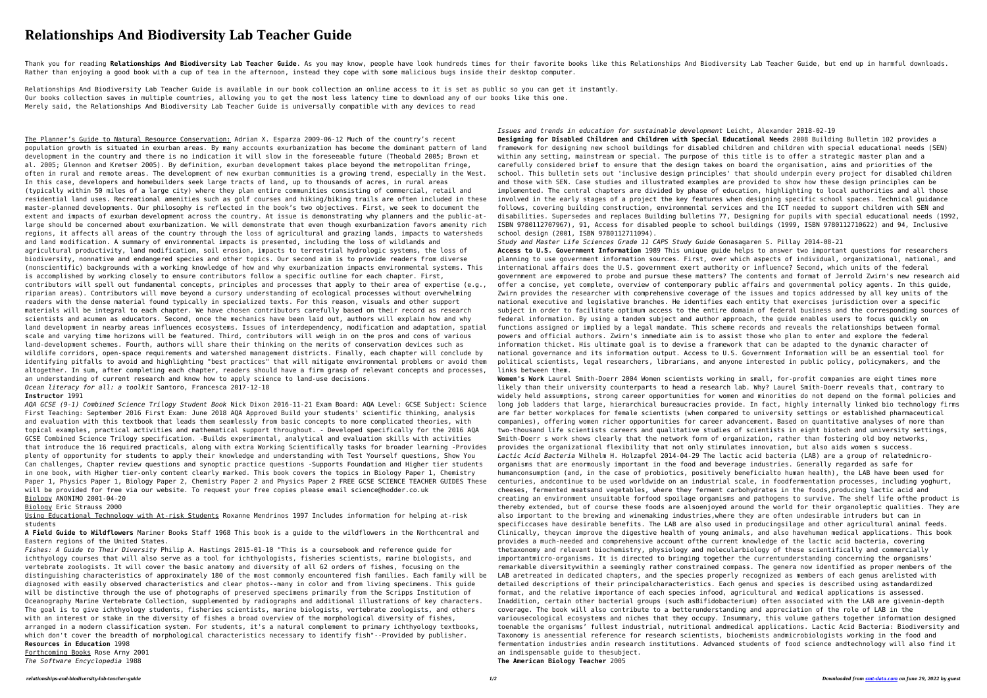## **Relationships And Biodiversity Lab Teacher Guide**

Thank you for reading Relationships And Biodiversity Lab Teacher Guide. As you may know, people have look hundreds times for their favorite books like this Relationships And Biodiversity Lab Teacher Guide, but end up in ha Rather than enjoying a good book with a cup of tea in the afternoon, instead they cope with some malicious bugs inside their desktop computer.

Relationships And Biodiversity Lab Teacher Guide is available in our book collection an online access to it is set as public so you can get it instantly. Our books collection saves in multiple countries, allowing you to get the most less latency time to download any of our books like this one. Merely said, the Relationships And Biodiversity Lab Teacher Guide is universally compatible with any devices to read

The Planner's Guide to Natural Resource Conservation: Adrian X. Esparza 2009-06-12 Much of the country's recent population growth is situated in exurban areas. By many accounts exurbanization has become the dominant pattern of land development in the country and there is no indication it will slow in the foreseeable future (Theobald 2005; Brown et al. 2005; Glennon and Kretser 2005). By definition, exurban development takes place beyond the metropolitan fringe, often in rural and remote areas. The development of new exurban communities is a growing trend, especially in the West. In this case, developers and homebuilders seek large tracts of land, up to thousands of acres, in rural areas (typically within 50 miles of a large city) where they plan entire communities consisting of commercial, retail and residential land uses. Recreational amenities such as golf courses and hiking/biking trails are often included in these master-planned developments. Our philosophy is reflected in the book's two objectives. First, we seek to document the extent and impacts of exurban development across the country. At issue is demonstrating why planners and the public-atlarge should be concerned about exurbanization. We will demonstrate that even though exurbanization favors amenity rich regions, it affects all areas of the country through the loss of agricultural and grazing lands, impacts to watersheds and land modification. A summary of environmental impacts is presented, including the loss of wildlands and agricultural productivity, land modification, soil erosion, impacts to terrestrial hydrologic systems, the loss of biodiversity, nonnative and endangered species and other topics. Our second aim is to provide readers from diverse (nonscientific) backgrounds with a working knowledge of how and why exurbanization impacts environmental systems. This is accomplished by working closely to ensure contributors follow a specific outline for each chapter. First, contributors will spell out fundamental concepts, principles and processes that apply to their area of expertise (e.g., riparian areas). Contributors will move beyond a cursory understanding of ecological processes without overwhelming readers with the dense material found typically in specialized texts. For this reason, visuals and other support materials will be integral to each chapter. We have chosen contributors carefully based on their record as research scientists and acumen as educators. Second, once the mechanics have been laid out, authors will explain how and why land development in nearby areas influences ecosystems. Issues of interdependency, modification and adaptation, spatial scale and varying time horizons will be featured. Third, contributors will weigh in on the pros and cons of various land-development schemes. Fourth, authors will share their thinking on the merits of conservation devices such as wildlife corridors, open-space requirements and watershed management districts. Finally, each chapter will conclude by identifying pitfalls to avoid and highlighting "best practices" that will mitigate environmental problems or avoid them altogether. In sum, after completing each chapter, readers should have a firm grasp of relevant concepts and processes, an understanding of current research and know how to apply science to land-use decisions. *Ocean literacy for all: a toolkit* Santoro, Francesca 2017-12-18

Using Educational Technology with At-risk Students Roxanne Mendrinos 1997 Includes information for helping at-risk students

## **Instructor** 1991

*AQA GCSE (9-1) Combined Science Trilogy Student Book* Nick Dixon 2016-11-21 Exam Board: AQA Level: GCSE Subject: Science First Teaching: September 2016 First Exam: June 2018 AQA Approved Build your students' scientific thinking, analysis and evaluation with this textbook that leads them seamlessly from basic concepts to more complicated theories, with topical examples, practical activities and mathematical support throughout. - Developed specifically for the 2016 AQA GCSE Combined Science Trilogy specification. -Builds experimental, analytical and evaluation skills with activities that introduce the 16 required practicals, along with extra Working Scientifically tasks for broader learning -Provides plenty of opportunity for students to apply their knowledge and understanding with Test Yourself questions, Show You Can challenges, Chapter review questions and synoptic practice questions -Supports Foundation and Higher tier students in one book, with Higher tier-only content clearly marked. This book covers the topics in Biology Paper 1, Chemistry Paper 1, Physics Paper 1, Biology Paper 2, Chemistry Paper 2 and Physics Paper 2 FREE GCSE SCIENCE TEACHER GUIDES These will be provided for free via our website. To request your free copies please email science@hodder.co.uk Biology ANONIMO 2001-04-20

Biology Eric Strauss 2000

**A Field Guide to Wildflowers** Mariner Books Staff 1968 This book is a guide to the wildflowers in the Northcentral and Eastern regions of the United States.

*Fishes: A Guide to Their Diversity* Philip A. Hastings 2015-01-10 "This is a coursebook and reference guide for ichthyology courses that will also serve as a tool for ichthyologists, fisheries scientists, marine biologists, and vertebrate zoologists. It will cover the basic anatomy and diversity of all 62 orders of fishes, focusing on the distinguishing characteristics of approximately 180 of the most commonly encountered fish families. Each family will be diagnosed with easily observed characteristics and clear photos--many in color and from living specimens. This guide will be distinctive through the use of photographs of preserved specimens primarily from the Scripps Institution of Oceanography Marine Vertebrate Collection, supplemented by radiographs and additional illustrations of key characters. The goal is to give ichthyology students, fisheries scientists, marine biologists, vertebrate zoologists, and others with an interest or stake in the diversity of fishes a broad overview of the morphological diversity of fishes, arranged in a modern classification system. For students, it's a natural complement to primary ichthyology textbooks, which don't cover the breadth of morphological characteristics necessary to identify fish"--Provided by publisher. **Resources in Education** 1998 Forthcoming Books Rose Arny 2001 *The Software Encyclopedia* 1988

*Issues and trends in education for sustainable development* Leicht, Alexander 2018-02-19 **Designing for Disabled Children and Children with Special Educational Needs** 2008 Building Bulletin 102 provides a framework for designing new school buildings for disabled children and children with special educational needs (SEN) within any setting, mainstream or special. The purpose of this title is to offer a strategic master plan and a carefully considered brief to ensure that the design takes on board the organisation, aims and priorities of the school. This bulletin sets out 'inclusive design principles' that should underpin every project for disabled children and those with SEN. Case studies and illustrated examples are provided to show how these design principles can be implemented. The central chapters are divided by phase of education, highlighting to local authorities and all those involved in the early stages of a project the key features when designing specific school spaces. Technical guidance follows, covering building construction, environmental services and the ICT needed to support children with SEN and disabilities. Supersedes and replaces Building bulletins 77, Designing for pupils with special educational needs (1992, ISBN 9780112707967), 91, Access for disabled people to school buildings (1999, ISBN 9780112710622) and 94, Inclusive school design (2001, ISBN 9780112711094).

*Study and Master Life Sciences Grade 11 CAPS Study Guide* Gonasagaren S. Pillay 2014-08-21

**Access to U.S. Government Information** 1989 This unique guide helps to answer two important questions for researchers planning to use government information sources. First, over which aspects of individual, organizational, national, and international affairs does the U.S. government exert authority or influence? Second, which units of the federal government are empowered to probe and pursue these matters? The contents and format of Jerrold Zwirn's new research aid offer a concise, yet complete, overview of contemporary public affairs and governmental policy agents. In this guide, Zwirn provides the researcher with comprehensive coverage of the issues and topics addressed by all key units of the national executive and legislative branches. He identifies each entity that exercises jurisdiction over a specific subject in order to facilitate optimum access to the entire domain of federal business and the corresponding sources of federal information. By using a tandem subject and author approach, the guide enables users to focus quickly on functions assigned or implied by a legal mandate. This scheme records and reveals the relationships between formal powers and official authors. Zwirn's immediate aim is to assist those who plan to enter and explore the federal information thicket. His ultimate goal is to devise a framework that can be adapted to the dynamic character of national governance and its information output. Access to U.S. Government Information will be an essential tool for political scientists, legal researchers, librarians, and anyone interested in public policy, policymakers, and the links between them.

**Women's Work** Laurel Smith-Doerr 2004 Women scientists working in small, for-profit companies are eight times more likely than their university counterparts to head a research lab. Why? Laurel Smith-Doerr reveals that, contrary to widely held assumptions, strong career opportunities for women and minorities do not depend on the formal policies and long job ladders that large, hierarchical bureaucracies provide. In fact, highly internally linked bio technology firms are far better workplaces for female scientists (when compared to university settings or established pharmaceutical companies), offering women richer opportunities for career advancement. Based on quantitative analyses of more than two-thousand life scientists careers and qualitative studies of scientists in eight biotech and university settings, Smith-Doerr s work shows clearly that the network form of organization, rather than fostering old boy networks, provides the organizational flexibility that not only stimulates innovation, but also aids women s success. *Lactic Acid Bacteria* Wilhelm H. Holzapfel 2014-04-29 The lactic acid bacteria (LAB) are a group of relatedmicroorganisms that are enormously important in the food and beverage industries. Generally regarded as safe for humanconsumption (and, in the case of probiotics, positively beneficialto human health), the LAB have been used for centuries, andcontinue to be used worldwide on an industrial scale, in foodfermentation processes, including yoghurt, cheeses, fermented meatsand vegetables, where they ferment carbohydrates in the foods,producing lactic acid and creating an environment unsuitable forfood spoilage organisms and pathogens to survive. The shelf life ofthe product is thereby extended, but of course these foods are alsoenjoyed around the world for their organoleptic qualities. They are also important to the brewing and winemaking industries,where they are often undesirable intruders but can in specificcases have desirable benefits. The LAB are also used in producingsilage and other agricultural animal feeds. Clinically, theycan improve the digestive health of young animals, and also havehuman medical applications. This book provides a much-needed and comprehensive account ofthe current knowledge of the lactic acid bacteria, covering thetaxonomy and relevant biochemistry, physiology and molecularbiology of these scientifically and commercially importantmicro-organisms. It is directed to bringing together the currentunderstanding concerning the organisms' remarkable diversitywithin a seemingly rather constrained compass. The genera now identified as proper members of the LAB aretreated in dedicated chapters, and the species properly recognized as members of each genus arelisted with detailed descriptions of their principalcharacteristics. Each genus and species is described using astandardized format, and the relative importance of each species infood, agricultural and medical applications is assessed. Inaddition, certain other bacterial groups (such asBifidobacterium) often associated with the LAB are givenin-depth coverage. The book will also contribute to a betterunderstanding and appreciation of the role of LAB in the variousecological ecosystems and niches that they occupy. Insummary, this volume gathers together information designed toenable the organisms' fullest industrial, nutritional andmedical applications. Lactic Acid Bacteria: Biodiversity and Taxonomy is anessential reference for research scientists, biochemists andmicrobiologists working in the food and fermentation industries andin research institutions. Advanced students of food science andtechnology will also find it an indispensable guide to thesubject. **The American Biology Teacher** 2005